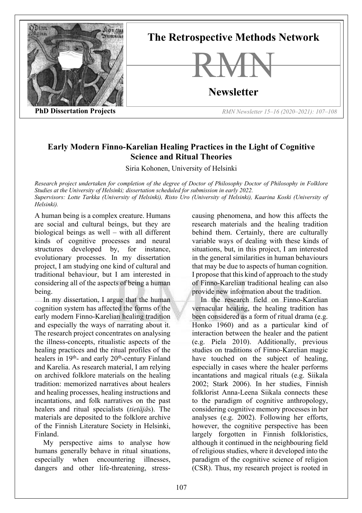

**The Retrospective Methods Network**



**Newsletter**

**PhD Dissertation Projects** *RMN Newsletter 15–16 (2020–2021): 107–108*

## **Early Modern Finno-Karelian Healing Practices in the Light of Cognitive Science and Ritual Theories**

Siria Kohonen, University of Helsinki

*Research project undertaken for completion of the degree of Doctor of Philosophy Doctor of Philosophy in Folklore Studies at the University of Helsinki; dissertation scheduled for submission in early 2022. Supervisors: Lotte Tarkka (University of Helsinki), Risto Uro (University of Helsinki), Kaarina Koski (University of Helsinki).*

A human being is a complex creature. Humans are social and cultural beings, but they are biological beings as well – with all different kinds of cognitive processes and neural structures developed by, for instance, evolutionary processes. In my dissertation project, I am studying one kind of cultural and traditional behaviour, but I am interested in considering all of the aspects of being a human being.

In my dissertation, I argue that the human cognition system has affected the forms of the early modern Finno-Karelian healing tradition and especially the ways of narrating about it. The research project concentrates on analysing the illness-concepts, ritualistic aspects of the healing practices and the ritual profiles of the healers in  $19<sup>th</sup>$ - and early  $20<sup>th</sup>$ -century Finland and Karelia. As research material, I am relying on archived folklore materials on the healing tradition: memorized narratives about healers and healing processes, healing instructions and incantations, and folk narratives on the past healers and ritual specialists (*tietäjä*s). The materials are deposited to the folklore archive of the Finnish Literature Society in Helsinki, Finland.

My perspective aims to analyse how humans generally behave in ritual situations, especially when encountering illnesses, dangers and other life-threatening, stresscausing phenomena, and how this affects the research materials and the healing tradition behind them. Certainly, there are culturally variable ways of dealing with these kinds of situations, but, in this project, I am interested in the general similarities in human behaviours that may be due to aspects of human cognition. I propose that this kind of approach to the study of Finno-Karelian traditional healing can also provide new information about the tradition.

In the research field on Finno-Karelian vernacular healing, the healing tradition has been considered as a form of ritual drama (e.g. Honko 1960) and as a particular kind of interaction between the healer and the patient (e.g. Piela 2010). Additionally, previous studies on traditions of Finno-Karelian magic have touched on the subject of healing, especially in cases where the healer performs incantations and magical rituals (e.g. Siikala 2002; Stark 2006). In her studies, Finnish folklorist Anna-Leena Siikala connects these to the paradigm of cognitive anthropology, considering cognitive memory processes in her analyses (e.g. 2002). Following her efforts, however, the cognitive perspective has been largely forgotten in Finnish folkloristics, although it continued in the neighbouring field of religious studies, where it developed into the paradigm of the cognitive science of religion (CSR). Thus, my research project is rooted in